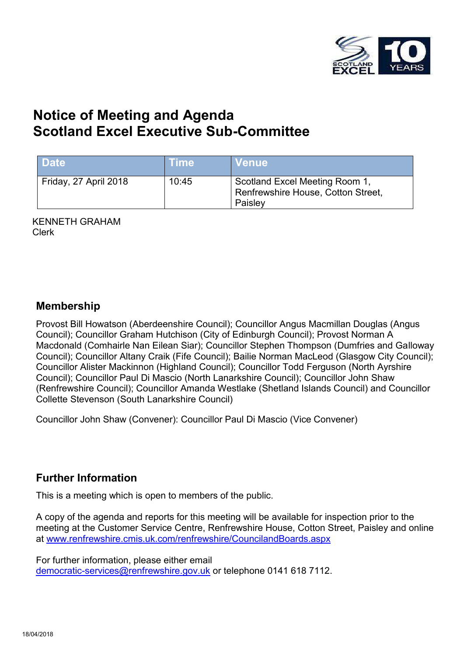

# **Notice of Meeting and Agenda Scotland Excel Executive Sub-Committee**

| <b>Date</b>           | ∖Time\ | <b>Venue</b>                                                                    |
|-----------------------|--------|---------------------------------------------------------------------------------|
| Friday, 27 April 2018 | 10:45  | Scotland Excel Meeting Room 1,<br>Renfrewshire House, Cotton Street,<br>Paisley |

KENNETH GRAHAM Clerk

#### **Membership**

Provost Bill Howatson (Aberdeenshire Council); Councillor Angus Macmillan Douglas (Angus Council); Councillor Graham Hutchison (City of Edinburgh Council); Provost Norman A Macdonald (Comhairle Nan Eilean Siar); Councillor Stephen Thompson (Dumfries and Galloway Council); Councillor Altany Craik (Fife Council); Bailie Norman MacLeod (Glasgow City Council); Councillor Alister Mackinnon (Highland Council); Councillor Todd Ferguson (North Ayrshire Council); Councillor Paul Di Mascio (North Lanarkshire Council); Councillor John Shaw (Renfrewshire Council); Councillor Amanda Westlake (Shetland Islands Council) and Councillor Collette Stevenson (South Lanarkshire Council)

Councillor John Shaw (Convener): Councillor Paul Di Mascio (Vice Convener)

#### **Further Information**

This is a meeting which is open to members of the public.

A copy of the agenda and reports for this meeting will be available for inspection prior to the meeting at the Customer Service Centre, Renfrewshire House, Cotton Street, Paisley and online at [www.renfrewshire.cmis.uk.com/renfrewshire/CouncilandBoards.aspx](http://www.renfrewshire.cmis.uk.com/renfrewshire/CouncilandBoards.aspx)

For further information, please either email [democratic-services@renfrewshire.gov.uk](mailto:democratic-services@renfrewshire.gov.uk) or telephone 0141 618 7112.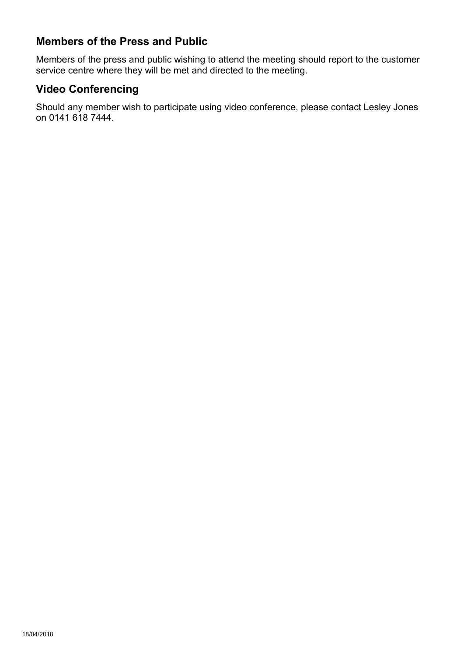### **Members of the Press and Public**

Members of the press and public wishing to attend the meeting should report to the customer service centre where they will be met and directed to the meeting.

### **Video Conferencing**

Should any member wish to participate using video conference, please contact Lesley Jones on 0141 618 7444.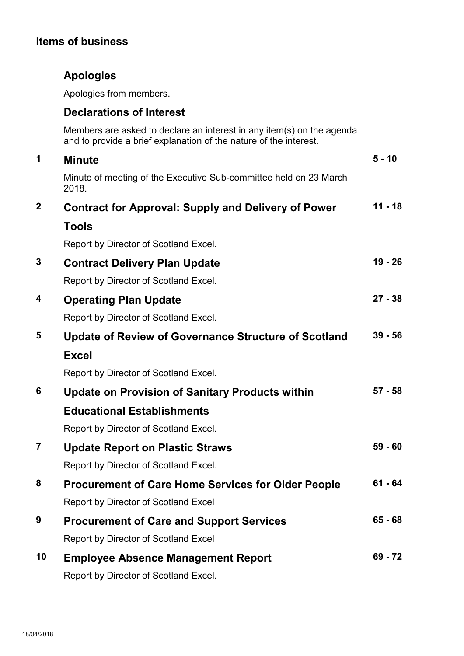### **Items of business**

## **Apologies**

Apologies from members.

#### **Declarations of Interest**

Members are asked to declare an interest in any item(s) on the agenda and to provide a brief explanation of the nature of the interest.

| 1            | <b>Minute</b>                                                              | $5 - 10$  |
|--------------|----------------------------------------------------------------------------|-----------|
|              | Minute of meeting of the Executive Sub-committee held on 23 March<br>2018. |           |
| $\mathbf{2}$ | <b>Contract for Approval: Supply and Delivery of Power</b>                 | $11 - 18$ |
|              | <b>Tools</b>                                                               |           |
|              | Report by Director of Scotland Excel.                                      |           |
| 3            | <b>Contract Delivery Plan Update</b>                                       | $19 - 26$ |
|              | Report by Director of Scotland Excel.                                      |           |
| 4            | <b>Operating Plan Update</b>                                               | $27 - 38$ |
|              | Report by Director of Scotland Excel.                                      |           |
| 5            | <b>Update of Review of Governance Structure of Scotland</b>                | $39 - 56$ |
|              | <b>Excel</b>                                                               |           |
|              | Report by Director of Scotland Excel.                                      |           |
| 6            | <b>Update on Provision of Sanitary Products within</b>                     | $57 - 58$ |
|              | <b>Educational Establishments</b>                                          |           |
|              | Report by Director of Scotland Excel.                                      |           |
| 7            | <b>Update Report on Plastic Straws</b>                                     | $59 - 60$ |
|              | Report by Director of Scotland Excel.                                      |           |
| 8            | <b>Procurement of Care Home Services for Older People</b>                  | $61 - 64$ |
|              | <b>Report by Director of Scotland Excel</b>                                |           |
| 9            | <b>Procurement of Care and Support Services</b>                            | $65 - 68$ |
|              | <b>Report by Director of Scotland Excel</b>                                |           |
| 10           | <b>Employee Absence Management Report</b>                                  | $69 - 72$ |
|              | Report by Director of Scotland Excel.                                      |           |